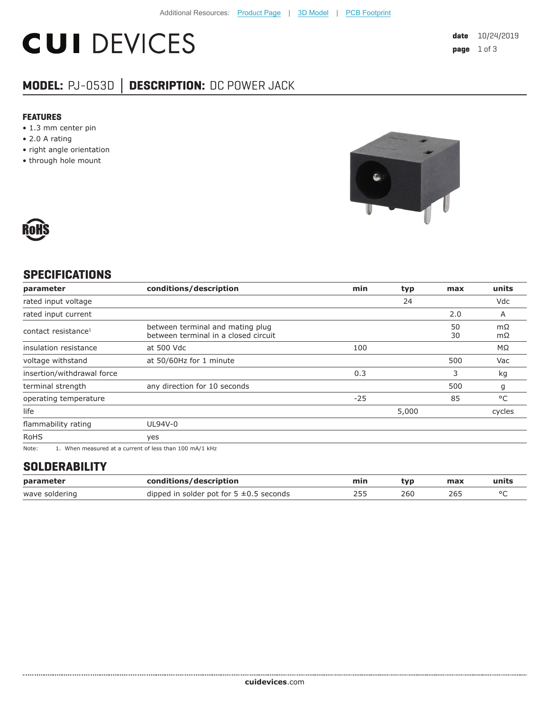# **CUI DEVICES**

## **MODEL:** PJ-053D **│ DESCRIPTION:** DC POWER JACK

#### **FEATURES**

- 1.3 mm center pin
- 2.0 A rating
- right angle orientation
- through hole mount





#### **SPECIFICATIONS**

| parameter                                                                                                                                                                                                                                                              | conditions/description                                                   | min   | typ   | max      | units    |
|------------------------------------------------------------------------------------------------------------------------------------------------------------------------------------------------------------------------------------------------------------------------|--------------------------------------------------------------------------|-------|-------|----------|----------|
| rated input voltage                                                                                                                                                                                                                                                    |                                                                          |       | 24    |          | Vdc      |
| rated input current                                                                                                                                                                                                                                                    |                                                                          |       |       | 2.0      | A        |
| contact resistance <sup>1</sup>                                                                                                                                                                                                                                        | between terminal and mating plug<br>between terminal in a closed circuit |       |       | 50<br>30 | mΩ<br>mΩ |
| insulation resistance                                                                                                                                                                                                                                                  | at 500 Vdc                                                               | 100   |       |          | MΩ       |
| voltage withstand                                                                                                                                                                                                                                                      | at 50/60Hz for 1 minute                                                  |       |       | 500      | Vac      |
| insertion/withdrawal force                                                                                                                                                                                                                                             |                                                                          | 0.3   |       | 3        | kg       |
| terminal strength                                                                                                                                                                                                                                                      | any direction for 10 seconds                                             |       |       | 500      | g        |
| operating temperature                                                                                                                                                                                                                                                  |                                                                          | $-25$ |       | 85       | °C       |
| life                                                                                                                                                                                                                                                                   |                                                                          |       | 5,000 |          | cycles   |
| flammability rating                                                                                                                                                                                                                                                    | UL94V-0                                                                  |       |       |          |          |
| <b>RoHS</b>                                                                                                                                                                                                                                                            | yes                                                                      |       |       |          |          |
| $\cdots$ . The contract of the contract of the contract of the contract of the contract of the contract of the contract of the contract of the contract of the contract of the contract of the contract of the contract of the c<br>$\sim$ $\sim$ $\sim$ $\sim$ $\sim$ |                                                                          |       |       |          |          |

Note: 1. When measured at a current of less than 100 mA/1 kHz

#### **SOLDERABILITY**

| parameter      | conditions/description                       | min | tvp | max | units |
|----------------|----------------------------------------------|-----|-----|-----|-------|
| wave soldering | dipped in solder pot for $5 \pm 0.5$ seconds |     | 260 | 265 |       |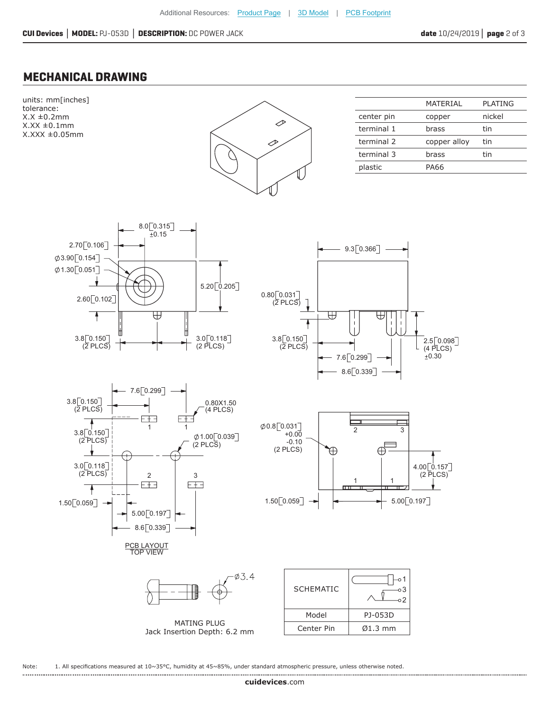### **MECHANICAL DRAWING**



Note: 1. All specifications measured at 10~35°C, humidity at 45~85%, under standard atmospheric pressure, unless otherwise noted.